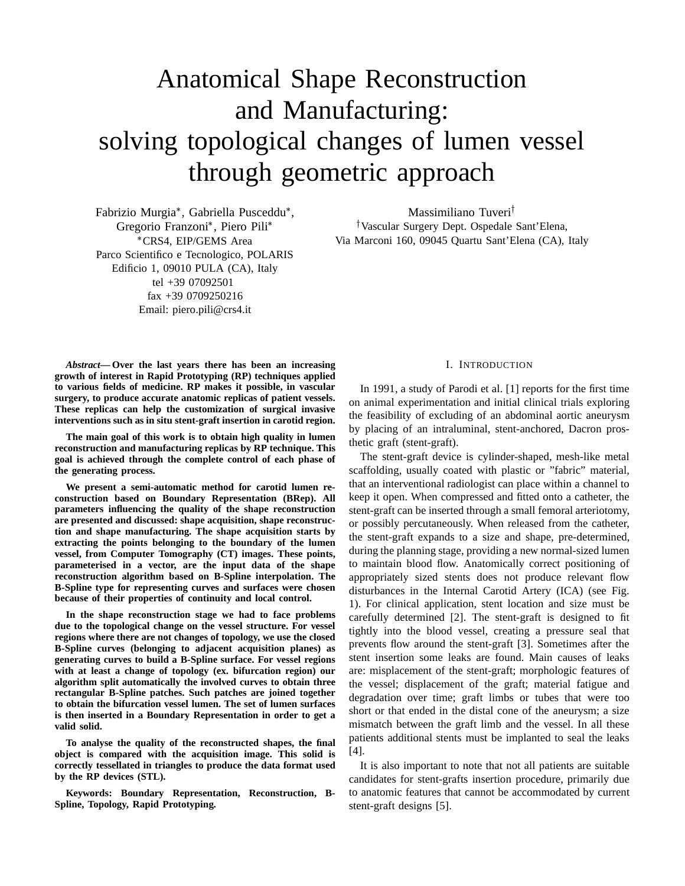# Anatomical Shape Reconstruction and Manufacturing: solving topological changes of lumen vessel through geometric approach

Fabrizio Murgia\*, Gabriella Pusceddu\*, Gregorio Franzoni\*, Piero Pili\* CRS4, EIP/GEMS Area Parco Scientifico e Tecnologico, POLARIS Edificio 1, 09010 PULA (CA), Italy tel +39 07092501 fax +39 0709250216 Email: piero.pili@crs4.it

Massimiliano Tuveri Vascular Surgery Dept. Ospedale Sant'Elena, Via Marconi 160, 09045 Quartu Sant'Elena (CA), Italy

*Abstract***— Over the last years there has been an increasing growth of interest in Rapid Prototyping (RP) techniques applied to various fields of medicine. RP makes it possible, in vascular surgery, to produce accurate anatomic replicas of patient vessels. These replicas can help the customization of surgical invasive interventions such as in situ stent-graft insertion in carotid region.**

**The main goal of this work is to obtain high quality in lumen reconstruction and manufacturing replicas by RP technique. This goal is achieved through the complete control of each phase of the generating process.**

**We present a semi-automatic method for carotid lumen reconstruction based on Boundary Representation (BRep). All parameters influencing the quality of the shape reconstruction are presented and discussed: shape acquisition, shape reconstruction and shape manufacturing. The shape acquisition starts by extracting the points belonging to the boundary of the lumen vessel, from Computer Tomography (CT) images. These points, parameterised in a vector, are the input data of the shape reconstruction algorithm based on B-Spline interpolation. The B-Spline type for representing curves and surfaces were chosen because of their properties of continuity and local control.**

**In the shape reconstruction stage we had to face problems due to the topological change on the vessel structure. For vessel regions where there are not changes of topology, we use the closed B-Spline curves (belonging to adjacent acquisition planes) as generating curves to build a B-Spline surface. For vessel regions with at least a change of topology (ex. bifurcation region) our algorithm split automatically the involved curves to obtain three rectangular B-Spline patches. Such patches are joined together to obtain the bifurcation vessel lumen. The set of lumen surfaces is then inserted in a Boundary Representation in order to get a valid solid.**

**To analyse the quality of the reconstructed shapes, the final object is compared with the acquisition image. This solid is correctly tessellated in triangles to produce the data format used by the RP devices (STL).**

**Keywords: Boundary Representation, Reconstruction, B-Spline, Topology, Rapid Prototyping.**

## I. INTRODUCTION

In 1991, a study of Parodi et al. [1] reports for the first time on animal experimentation and initial clinical trials exploring the feasibility of excluding of an abdominal aortic aneurysm by placing of an intraluminal, stent-anchored, Dacron prosthetic graft (stent-graft).

The stent-graft device is cylinder-shaped, mesh-like metal scaffolding, usually coated with plastic or "fabric" material, that an interventional radiologist can place within a channel to keep it open. When compressed and fitted onto a catheter, the stent-graft can be inserted through a small femoral arteriotomy, or possibly percutaneously. When released from the catheter, the stent-graft expands to a size and shape, pre-determined, during the planning stage, providing a new normal-sized lumen to maintain blood flow. Anatomically correct positioning of appropriately sized stents does not produce relevant flow disturbances in the Internal Carotid Artery (ICA) (see Fig. 1). For clinical application, stent location and size must be carefully determined [2]. The stent-graft is designed to fit tightly into the blood vessel, creating a pressure seal that prevents flow around the stent-graft [3]. Sometimes after the stent insertion some leaks are found. Main causes of leaks are: misplacement of the stent-graft; morphologic features of the vessel; displacement of the graft; material fatigue and degradation over time; graft limbs or tubes that were too short or that ended in the distal cone of the aneurysm; a size mismatch between the graft limb and the vessel. In all these patients additional stents must be implanted to seal the leaks [4].

It is also important to note that not all patients are suitable candidates for stent-grafts insertion procedure, primarily due to anatomic features that cannot be accommodated by current stent-graft designs [5].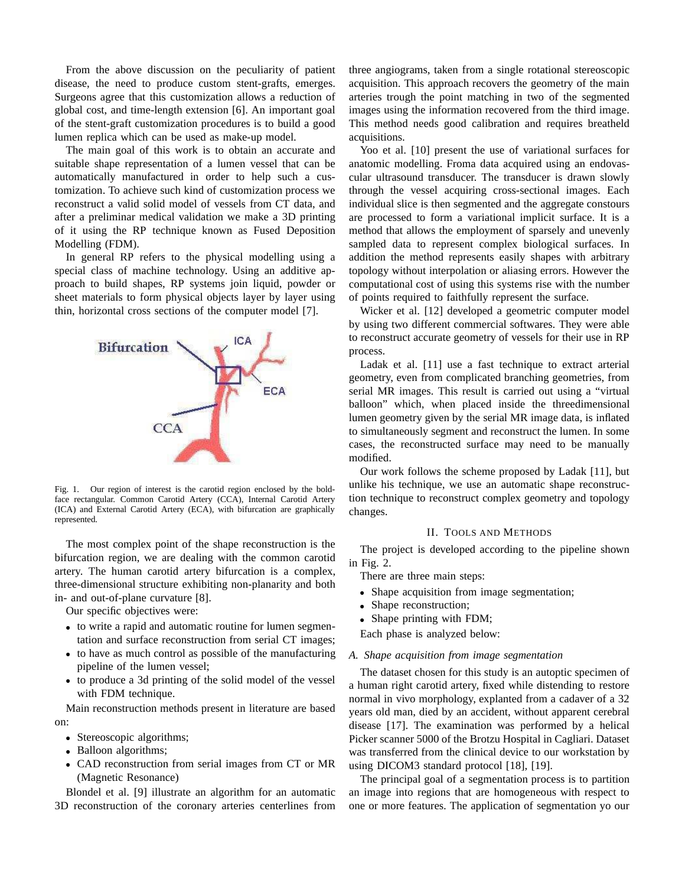From the above discussion on the peculiarity of patient disease, the need to produce custom stent-grafts, emerges. Surgeons agree that this customization allows a reduction of global cost, and time-length extension [6]. An important goal of the stent-graft customization procedures is to build a good lumen replica which can be used as make-up model.

The main goal of this work is to obtain an accurate and suitable shape representation of a lumen vessel that can be automatically manufactured in order to help such a customization. To achieve such kind of customization process we reconstruct a valid solid model of vessels from CT data, and after a preliminar medical validation we make a 3D printing of it using the RP technique known as Fused Deposition Modelling (FDM).

In general RP refers to the physical modelling using a special class of machine technology. Using an additive approach to build shapes, RP systems join liquid, powder or sheet materials to form physical objects layer by layer using thin, horizontal cross sections of the computer model [7].



Fig. 1. Our region of interest is the carotid region enclosed by the boldface rectangular. Common Carotid Artery (CCA), Internal Carotid Artery (ICA) and External Carotid Artery (ECA), with bifurcation are graphically represented.

The most complex point of the shape reconstruction is the bifurcation region, we are dealing with the common carotid artery. The human carotid artery bifurcation is a complex, three-dimensional structure exhibiting non-planarity and both in- and out-of-plane curvature [8].

Our specific objectives were:

- to write a rapid and automatic routine for lumen segmentation and surface reconstruction from serial CT images;
- to have as much control as possible of the manufacturing pipeline of the lumen vessel;
- to produce a 3d printing of the solid model of the vessel with FDM technique.

Main reconstruction methods present in literature are based on:

- Stereoscopic algorithms;
- Balloon algorithms;
- CAD reconstruction from serial images from CT or MR (Magnetic Resonance)

Blondel et al. [9] illustrate an algorithm for an automatic 3D reconstruction of the coronary arteries centerlines from three angiograms, taken from a single rotational stereoscopic acquisition. This approach recovers the geometry of the main arteries trough the point matching in two of the segmented images using the information recovered from the third image. This method needs good calibration and requires breatheld acquisitions.

Yoo et al. [10] present the use of variational surfaces for anatomic modelling. Froma data acquired using an endovascular ultrasound transducer. The transducer is drawn slowly through the vessel acquiring cross-sectional images. Each individual slice is then segmented and the aggregate constours are processed to form a variational implicit surface. It is a method that allows the employment of sparsely and unevenly sampled data to represent complex biological surfaces. In addition the method represents easily shapes with arbitrary topology without interpolation or aliasing errors. However the computational cost of using this systems rise with the number of points required to faithfully represent the surface.

Wicker et al. [12] developed a geometric computer model by using two different commercial softwares. They were able to reconstruct accurate geometry of vessels for their use in RP process.

Ladak et al. [11] use a fast technique to extract arterial geometry, even from complicated branching geometries, from serial MR images. This result is carried out using a "virtual balloon" which, when placed inside the threedimensional lumen geometry given by the serial MR image data, is inflated to simultaneously segment and reconstruct the lumen. In some cases, the reconstructed surface may need to be manually modified.

Our work follows the scheme proposed by Ladak [11], but unlike his technique, we use an automatic shape reconstruction technique to reconstruct complex geometry and topology changes.

## II. TOOLS AND METHODS

The project is developed according to the pipeline shown in Fig. 2.

There are three main steps:

- Shape acquisition from image segmentation;
- Shape reconstruction;
- Shape printing with FDM;

Each phase is analyzed below:

## *A. Shape acquisition from image segmentation*

The dataset chosen for this study is an autoptic specimen of a human right carotid artery, fixed while distending to restore normal in vivo morphology, explanted from a cadaver of a 32 years old man, died by an accident, without apparent cerebral disease [17]. The examination was performed by a helical Picker scanner 5000 of the Brotzu Hospital in Cagliari. Dataset was transferred from the clinical device to our workstation by using DICOM3 standard protocol [18], [19].

The principal goal of a segmentation process is to partition an image into regions that are homogeneous with respect to one or more features. The application of segmentation yo our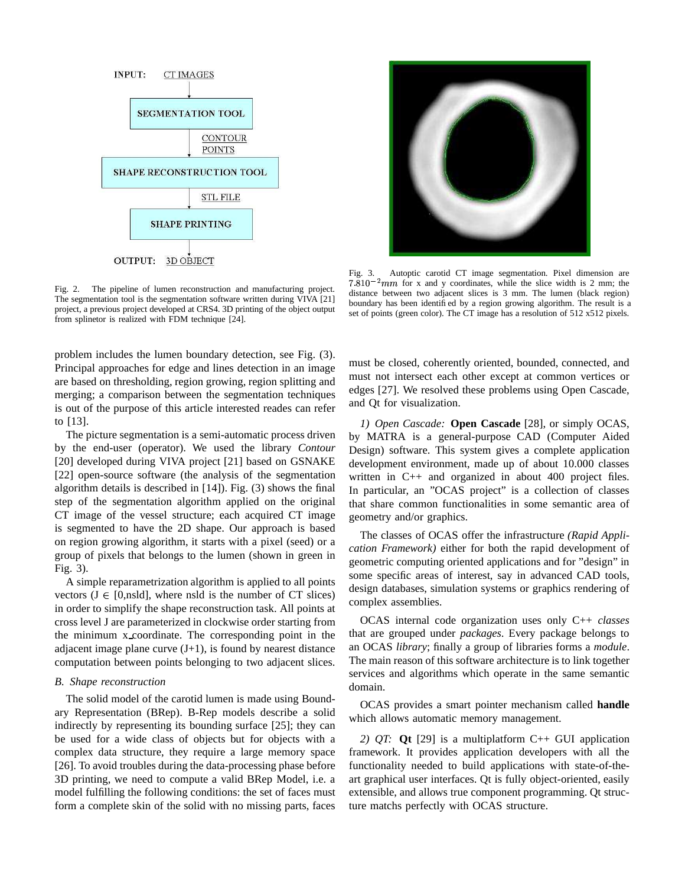

Fig. 2. The pipeline of lumen reconstruction and manufacturing project. The segmentation tool is the segmentation software written during VIVA [21] project, a previous project developed at CRS4. 3D printing of the object output from splinetor is realized with FDM technique [24].

problem includes the lumen boundary detection, see Fig. (3). Principal approaches for edge and lines detection in an image are based on thresholding, region growing, region splitting and merging; a comparison between the segmentation techniques is out of the purpose of this article interested reades can refer to [13].

The picture segmentation is a semi-automatic process driven by the end-user (operator). We used the library *Contour* [20] developed during VIVA project [21] based on GSNAKE [22] open-source software (the analysis of the segmentation algorithm details is described in [14]). Fig. (3) shows the final step of the segmentation algorithm applied on the original CT image of the vessel structure; each acquired CT image is segmented to have the 2D shape. Our approach is based on region growing algorithm, it starts with a pixel (seed) or a group of pixels that belongs to the lumen (shown in green in Fig. 3).

A simple reparametrization algorithm is applied to all points vectors  $(J \in [0,ns]d]$ , where nsld is the number of CT slices) in order to simplify the shape reconstruction task. All points at cross level J are parameterized in clockwise order starting from the minimum x coordinate. The corresponding point in the adjacent image plane curve  $(J+1)$ , is found by nearest distance computation between points belonging to two adjacent slices.

## *B. Shape reconstruction*

The solid model of the carotid lumen is made using Boundary Representation (BRep). B-Rep models describe a solid indirectly by representing its bounding surface [25]; they can be used for a wide class of objects but for objects with a complex data structure, they require a large memory space [26]. To avoid troubles during the data-processing phase before 3D printing, we need to compute a valid BRep Model, i.e. a model fulfilling the following conditions: the set of faces must form a complete skin of the solid with no missing parts, faces



Fig. 3. Autoptic carotid CT image segmentation. Pixel dimension are  $7.810^{-2}$  mm for x and y coordinates, while the slice width is 2 mm; the distance between two adjacent slices is 3 mm. The lumen (black region) boundary has been identified by a region growing algorithm. The result is a set of points (green color). The CT image has a resolution of 512 x512 pixels.

must be closed, coherently oriented, bounded, connected, and must not intersect each other except at common vertices or edges [27]. We resolved these problems using Open Cascade, and Qt for visualization.

*1) Open Cascade:* **Open Cascade** [28], or simply OCAS, by MATRA is a general-purpose CAD (Computer Aided Design) software. This system gives a complete application development environment, made up of about 10.000 classes written in C++ and organized in about 400 project files. In particular, an "OCAS project" is a collection of classes that share common functionalities in some semantic area of geometry and/or graphics.

The classes of OCAS offer the infrastructure *(Rapid Application Framework)* either for both the rapid development of geometric computing oriented applications and for "design" in some specific areas of interest, say in advanced CAD tools, design databases, simulation systems or graphics rendering of complex assemblies.

OCAS internal code organization uses only C++ *classes* that are grouped under *packages*. Every package belongs to an OCAS *library*; finally a group of libraries forms a *module*. The main reason of this software architecture is to link together services and algorithms which operate in the same semantic domain.

OCAS provides a smart pointer mechanism called **handle** which allows automatic memory management.

*2) QT:* **Qt** [29] is a multiplatform C++ GUI application framework. It provides application developers with all the functionality needed to build applications with state-of-theart graphical user interfaces. Qt is fully object-oriented, easily extensible, and allows true component programming. Qt structure matchs perfectly with OCAS structure.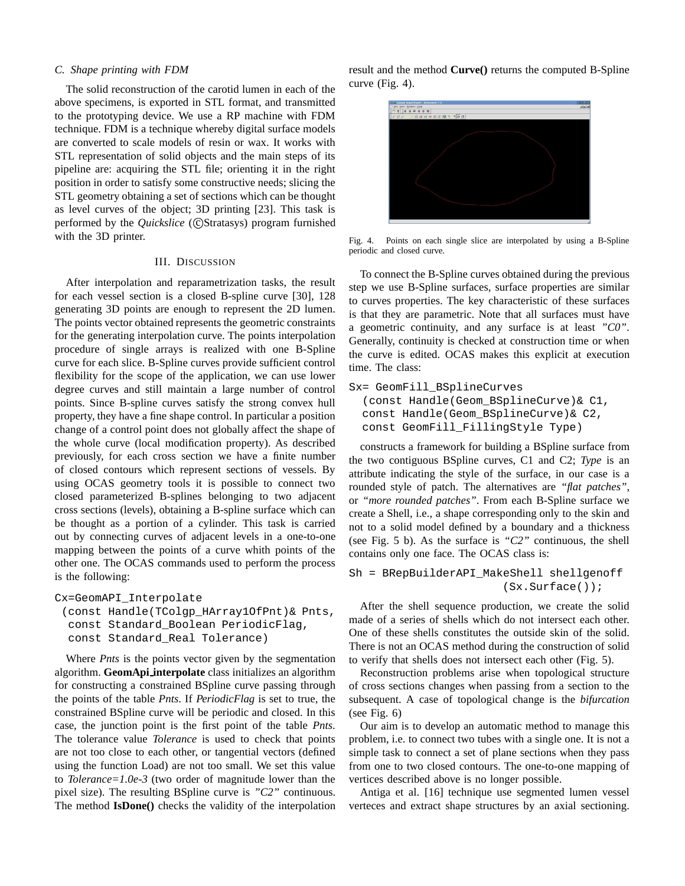### *C. Shape printing with FDM*

The solid reconstruction of the carotid lumen in each of the above specimens, is exported in STL format, and transmitted to the prototyping device. We use a RP machine with FDM technique. FDM is a technique whereby digital surface models are converted to scale models of resin or wax. It works with STL representation of solid objects and the main steps of its pipeline are: acquiring the STL file; orienting it in the right position in order to satisfy some constructive needs; slicing the STL geometry obtaining a set of sections which can be thought as level curves of the object; 3D printing [23]. This task is performed by the *Quickslice* (CStratasys) program furnished with the 3D printer.

#### III. DISCUSSION

After interpolation and reparametrization tasks, the result for each vessel section is a closed B-spline curve [30], 128 generating 3D points are enough to represent the 2D lumen. The points vector obtained represents the geometric constraints for the generating interpolation curve. The points interpolation procedure of single arrays is realized with one B-Spline curve for each slice. B-Spline curves provide sufficient control flexibility for the scope of the application, we can use lower degree curves and still maintain a large number of control points. Since B-spline curves satisfy the strong convex hull property, they have a fine shape control. In particular a position change of a control point does not globally affect the shape of the whole curve (local modification property). As described previously, for each cross section we have a finite number of closed contours which represent sections of vessels. By using OCAS geometry tools it is possible to connect two closed parameterized B-splines belonging to two adjacent cross sections (levels), obtaining a B-spline surface which can be thought as a portion of a cylinder. This task is carried out by connecting curves of adjacent levels in a one-to-one mapping between the points of a curve whith points of the other one. The OCAS commands used to perform the process is the following:

#### Cx=GeomAPI\_Interpolate

```
(const Handle(TColgp_HArray1OfPnt)& Pnts,
const Standard_Boolean PeriodicFlag,
const Standard_Real Tolerance)
```
Where *Pnts* is the points vector given by the segmentation algorithm. **GeomApi interpolate** class initializes an algorithm for constructing a constrained BSpline curve passing through the points of the table *Pnts*. If *PeriodicFlag* is set to true, the constrained BSpline curve will be periodic and closed. In this case, the junction point is the first point of the table *Pnts*. The tolerance value *Tolerance* is used to check that points are not too close to each other, or tangential vectors (defined using the function Load) are not too small. We set this value to *Tolerance=1.0e-3* (two order of magnitude lower than the pixel size). The resulting BSpline curve is *"C2"* continuous. The method **IsDone()** checks the validity of the interpolation result and the method **Curve()** returns the computed B-Spline curve (Fig. 4).



Fig. 4. Points on each single slice are interpolated by using a B-Spline periodic and closed curve.

To connect the B-Spline curves obtained during the previous step we use B-Spline surfaces, surface properties are similar to curves properties. The key characteristic of these surfaces is that they are parametric. Note that all surfaces must have a geometric continuity, and any surface is at least *"C0"*. Generally, continuity is checked at construction time or when the curve is edited. OCAS makes this explicit at execution time. The class:

```
Sx= GeomFill_BSplineCurves
```

```
(const Handle(Geom_BSplineCurve)& C1,
const Handle(Geom_BSplineCurve)& C2,
const GeomFill_FillingStyle Type)
```
constructs a framework for building a BSpline surface from the two contiguous BSpline curves, C1 and C2; *Type* is an attribute indicating the style of the surface, in our case is a rounded style of patch. The alternatives are *"flat patches"*, or *"more rounded patches"*. From each B-Spline surface we create a Shell, i.e., a shape corresponding only to the skin and not to a solid model defined by a boundary and a thickness (see Fig. 5 b). As the surface is *"C2"* continuous, the shell contains only one face. The OCAS class is:

```
Sh = BRepBuilderAPI_MakeShell shellgenoff
                       (Sx.Surface());
```
After the shell sequence production, we create the solid made of a series of shells which do not intersect each other. One of these shells constitutes the outside skin of the solid. There is not an OCAS method during the construction of solid to verify that shells does not intersect each other (Fig. 5).

Reconstruction problems arise when topological structure of cross sections changes when passing from a section to the subsequent. A case of topological change is the *bifurcation* (see Fig. 6)

Our aim is to develop an automatic method to manage this problem, i.e. to connect two tubes with a single one. It is not a simple task to connect a set of plane sections when they pass from one to two closed contours. The one-to-one mapping of vertices described above is no longer possible.

Antiga et al. [16] technique use segmented lumen vessel verteces and extract shape structures by an axial sectioning.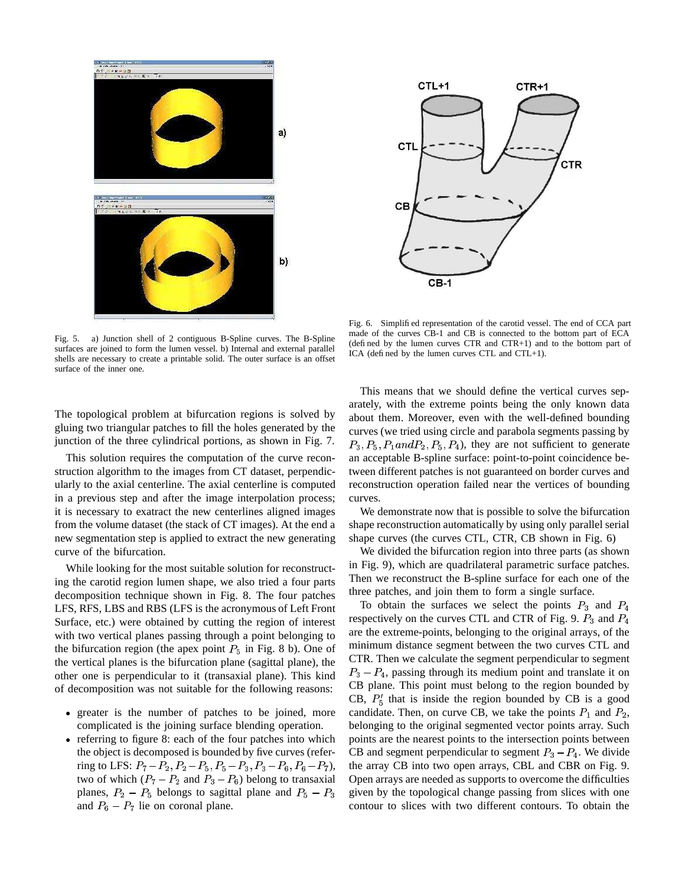

Fig. 5. a) Junction shell of 2 contiguous B-Spline curves. The B-Spline surfaces are joined to form the lumen vessel. b) Internal and external parallel shells are necessary to create a printable solid. The outer surface is an offset surface of the inner one.

The topological problem at bifurcation regions is solved by gluing two triangular patches to fill the holes generated by the junction of the three cylindrical portions, as shown in Fig. 7.

This solution requires the computation of the curve reconstruction algorithm to the images from CT dataset, perpendicularly to the axial centerline. The axial centerline is computed in a previous step and after the image interpolation process; it is necessary to exatract the new centerlines aligned images from the volume dataset (the stack of CT images). At the end a new segmentation step is applied to extract the new generating curve of the bifurcation.

While looking for the most suitable solution for reconstructing the carotid region lumen shape, we also tried a four parts decomposition technique shown in Fig. 8. The four patches LFS, RFS, LBS and RBS (LFS is the acronymous of Left Front Surface, etc.) were obtained by cutting the region of interest with two vertical planes passing through a point belonging to the bifurcation region (the apex point  $P_5$  in Fig. 8 b). One of the vertical planes is the bifurcation plane (sagittal plane), the other one is perpendicular to it (transaxial plane). This kind of decomposition was not suitable for the following reasons:

- greater is the number of patches to be joined, more complicated is the joining surface blending operation.
- referring to figure 8: each of the four patches into which the object is decomposed is bounded by five curves (referring to LFS:  $P_7 - P_2$ ,  $P_2 - P_5$ ,  $P_5 - P_3$ ,  $P_3 - P_6$ ,  $P_6 - P_7$ ), the two of which  $(P_7 - P_2$  and  $P_3 - P_6$ ) belong to transaxial planes,  $P_2 - P_5$  belongs to sagittal plane and  $P_5 - P_3$ and  $P_6 - P_7$  lie on coronal plane.



Fig. 6. Simplified representation of the carotid vessel. The end of CCA part made of the curves CB-1 and CB is connected to the bottom part of ECA (defined by the lumen curves CTR and CTR+1) and to the bottom part of ICA (defined by the lumen curves CTL and CTL+1).

This means that we should define the vertical curves separately, with the extreme points being the only known data about them. Moreover, even with the well-defined bounding curves (we tried using circle and parabola segments passing by  $P_3, P_5, P_1$  and  $P_2, P_5, P_4$ ), they are not sufficient to generate an acceptable B-spline surface: point-to-point coincidence between different patches is not guaranteed on border curves and reconstruction operation failed near the vertices of bounding curves.

We demonstrate now that is possible to solve the bifurcation shape reconstruction automatically by using only parallel serial shape curves (the curves CTL, CTR, CB shown in Fig. 6)

We divided the bifurcation region into three parts (as shown in Fig. 9), which are quadrilateral parametric surface patches. Then we reconstruct the B-spline surface for each one of the three patches, and join them to form a single surface.

To obtain the surfaces we select the points  $P_3$  and  $P_4$ respectively on the curves CTL and CTR of Fig. 9.  $P_3$  and  $P_4$ are the extreme-points, belonging to the original arrays, of the minimum distance segment between the two curves CTL and CTR. Then we calculate the segment perpendicular to segment  $P_3 - P_4$ , passing through its medium point and translate it on CB plane. This point must belong to the region bounded by CB,  $P_5'$  that is inside the region bounded by CB is a good candidate. Then, on curve CB, we take the points  $P_1$  and  $P_2$ , belonging to the original segmented vector points array. Such points are the nearest points to the intersection points between CB and segment perpendicular to segment  $P_3 - P_4$ . We divide the array CB into two open arrays, CBL and CBR on Fig. 9. Open arrays are needed as supports to overcome the difficulties given by the topological change passing from slices with one contour to slices with two different contours. To obtain the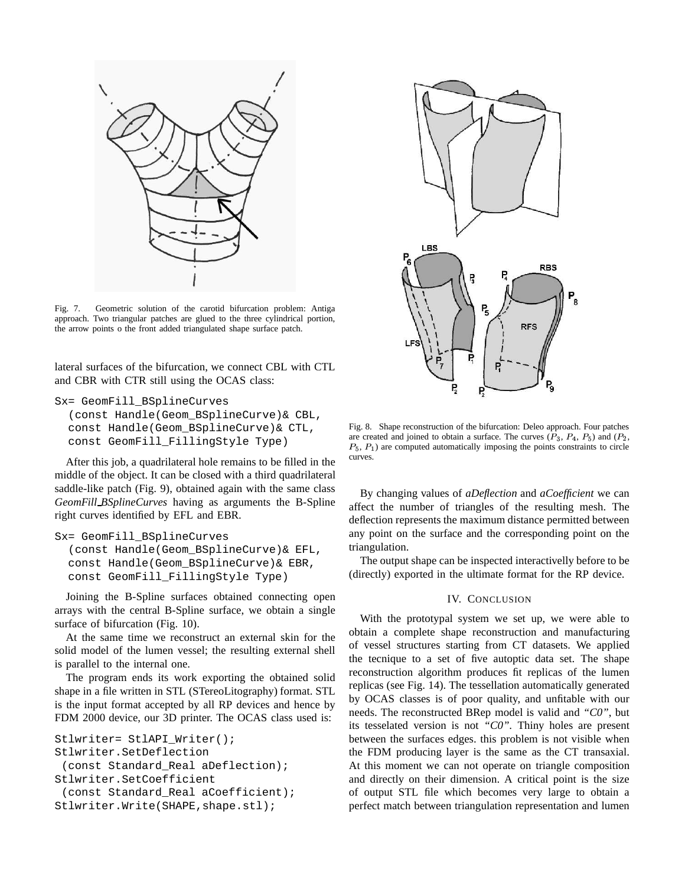

Fig. 7. Geometric solution of the carotid bifurcation problem: Antiga approach. Two triangular patches are glued to the three cylindrical portion, the arrow points o the front added triangulated shape surface patch.

lateral surfaces of the bifurcation, we connect CBL with CTL and CBR with CTR still using the OCAS class:

```
Sx= GeomFill_BSplineCurves
```

```
(const Handle(Geom_BSplineCurve)& CBL,
const Handle(Geom_BSplineCurve)& CTL,
const GeomFill_FillingStyle Type)
```
After this job, a quadrilateral hole remains to be filled in the middle of the object. It can be closed with a third quadrilateral saddle-like patch (Fig. 9), obtained again with the same class *GeomFill BSplineCurves* having as arguments the B-Spline right curves identified by EFL and EBR.

```
Sx= GeomFill_BSplineCurves
```

```
(const Handle(Geom_BSplineCurve)& EFL,
const Handle(Geom_BSplineCurve)& EBR,
const GeomFill_FillingStyle Type)
```
Joining the B-Spline surfaces obtained connecting open arrays with the central B-Spline surface, we obtain a single surface of bifurcation (Fig. 10).

At the same time we reconstruct an external skin for the solid model of the lumen vessel; the resulting external shell is parallel to the internal one.

The program ends its work exporting the obtained solid shape in a file written in STL (STereoLitography) format. STL is the input format accepted by all RP devices and hence by FDM 2000 device, our 3D printer. The OCAS class used is:

```
Stlwriter= StlAPI_Writer();
Stlwriter.SetDeflection
 (const Standard_Real aDeflection);
Stlwriter.SetCoefficient
 (const Standard_Real aCoefficient);
Stlwriter.Write(SHAPE,shape.stl);
```


Fig. 8. Shape reconstruction of the bifurcation: Deleo approach. Four patches are created and joined to obtain a surface. The curves  $(P_3, P_4, P_5)$  and  $(P_2, P_6)$  $P_5$ ,  $P_1$ ) are computed automatically imposing the points constraints to circle curves.

By changing values of *aDeflection* and *aCoefficient* we can affect the number of triangles of the resulting mesh. The deflection represents the maximum distance permitted between any point on the surface and the corresponding point on the triangulation.

The output shape can be inspected interactivelly before to be (directly) exported in the ultimate format for the RP device.

# IV. CONCLUSION

With the prototypal system we set up, we were able to obtain a complete shape reconstruction and manufacturing of vessel structures starting from CT datasets. We applied the tecnique to a set of five autoptic data set. The shape reconstruction algorithm produces fit replicas of the lumen replicas (see Fig. 14). The tessellation automatically generated by OCAS classes is of poor quality, and unfitable with our needs. The reconstructed BRep model is valid and *"C0"*, but its tesselated version is not *"C0"*. Thiny holes are present between the surfaces edges. this problem is not visible when the FDM producing layer is the same as the CT transaxial. At this moment we can not operate on triangle composition and directly on their dimension. A critical point is the size of output STL file which becomes very large to obtain a perfect match between triangulation representation and lumen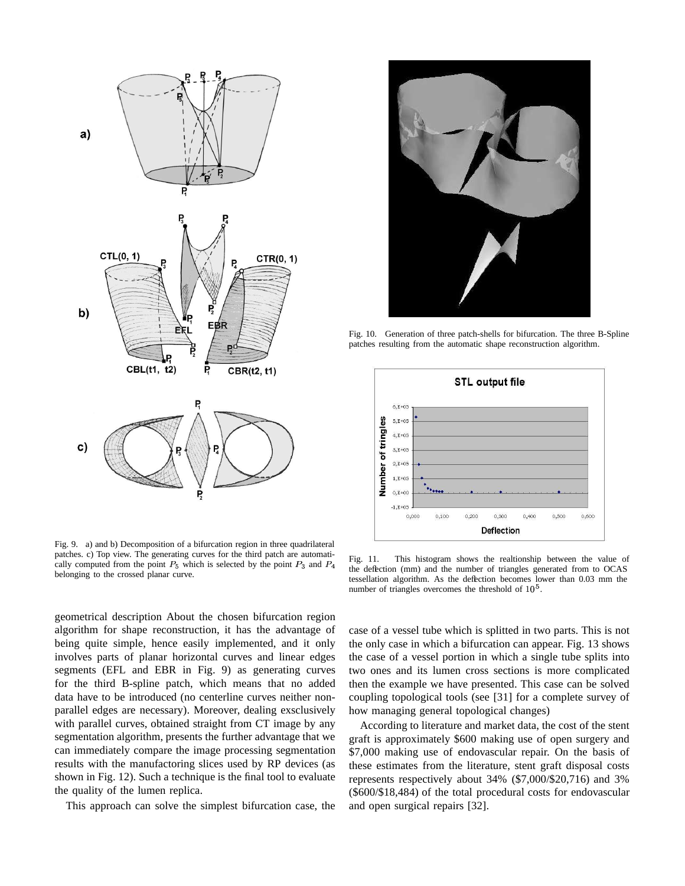

Fig. 9. a) and b) Decomposition of a bifurcation region in three quadrilateral patches. c) Top view. The generating curves for the third patch are automatically computed from the point  $P_5$  which is selected by the point  $P_3$  and  $P_4$   $\longrightarrow$ belonging to the crossed planar curve.

geometrical description About the chosen bifurcation region algorithm for shape reconstruction, it has the advantage of being quite simple, hence easily implemented, and it only involves parts of planar horizontal curves and linear edges segments (EFL and EBR in Fig. 9) as generating curves for the third B-spline patch, which means that no added data have to be introduced (no centerline curves neither nonparallel edges are necessary). Moreover, dealing exsclusively with parallel curves, obtained straight from CT image by any segmentation algorithm, presents the further advantage that we can immediately compare the image processing segmentation results with the manufactoring slices used by RP devices (as shown in Fig. 12). Such a technique is the final tool to evaluate the quality of the lumen replica.

This approach can solve the simplest bifurcation case, the



Fig. 10. Generation of three patch-shells for bifurcation. The three B-Spline patches resulting from the automatic shape reconstruction algorithm.



Fig. 11. This histogram shows the realtionship between the value of the deflection (mm) and the number of triangles generated from to OCAS tessellation algorithm. As the deflection becomes lower than 0.03 mm the number of triangles overcomes the threshold of  $10<sup>5</sup>$ .

case of a vessel tube which is splitted in two parts. This is not the only case in which a bifurcation can appear. Fig. 13 shows the case of a vessel portion in which a single tube splits into two ones and its lumen cross sections is more complicated then the example we have presented. This case can be solved coupling topological tools (see [31] for a complete survey of how managing general topological changes)

According to literature and market data, the cost of the stent graft is approximately \$600 making use of open surgery and \$7,000 making use of endovascular repair. On the basis of these estimates from the literature, stent graft disposal costs represents respectively about 34% (\$7,000/\$20,716) and 3% (\$600/\$18,484) of the total procedural costs for endovascular and open surgical repairs [32].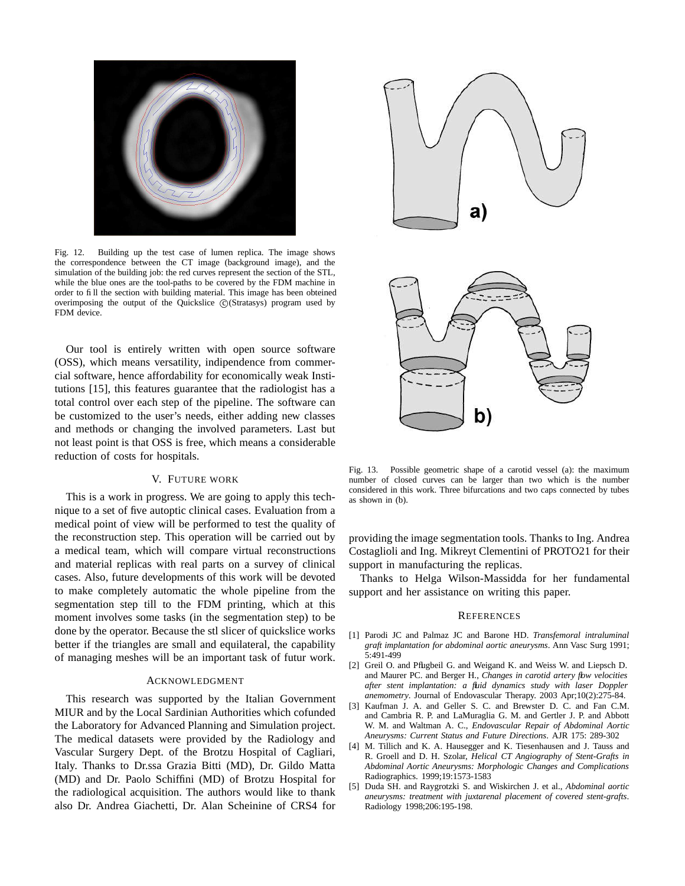

Fig. 12. Building up the test case of lumen replica. The image shows the correspondence between the CT image (background image), and the simulation of the building job: the red curves represent the section of the STL, while the blue ones are the tool-paths to be covered by the FDM machine in order to fill the section with building material. This image has been obteined overimposing the output of the Quickslice © (Stratasys) program used by FDM device.

Our tool is entirely written with open source software (OSS), which means versatility, indipendence from commercial software, hence affordability for economically weak Institutions [15], this features guarantee that the radiologist has a total control over each step of the pipeline. The software can be customized to the user's needs, either adding new classes and methods or changing the involved parameters. Last but not least point is that OSS is free, which means a considerable reduction of costs for hospitals.

# V. FUTURE WORK

This is a work in progress. We are going to apply this technique to a set of five autoptic clinical cases. Evaluation from a medical point of view will be performed to test the quality of the reconstruction step. This operation will be carried out by a medical team, which will compare virtual reconstructions and material replicas with real parts on a survey of clinical cases. Also, future developments of this work will be devoted to make completely automatic the whole pipeline from the segmentation step till to the FDM printing, which at this moment involves some tasks (in the segmentation step) to be done by the operator. Because the stl slicer of quickslice works better if the triangles are small and equilateral, the capability of managing meshes will be an important task of futur work.

#### ACKNOWLEDGMENT

This research was supported by the Italian Government MIUR and by the Local Sardinian Authorities which cofunded the Laboratory for Advanced Planning and Simulation project. The medical datasets were provided by the Radiology and Vascular Surgery Dept. of the Brotzu Hospital of Cagliari, Italy. Thanks to Dr.ssa Grazia Bitti (MD), Dr. Gildo Matta (MD) and Dr. Paolo Schiffini (MD) of Brotzu Hospital for the radiological acquisition. The authors would like to thank also Dr. Andrea Giachetti, Dr. Alan Scheinine of CRS4 for



Fig. 13. Possible geometric shape of a carotid vessel (a): the maximum number of closed curves can be larger than two which is the number considered in this work. Three bifurcations and two caps connected by tubes as shown in (b).

providing the image segmentation tools. Thanks to Ing. Andrea Costaglioli and Ing. Mikreyt Clementini of PROTO21 for their support in manufacturing the replicas.

Thanks to Helga Wilson-Massidda for her fundamental support and her assistance on writing this paper.

#### **REFERENCES**

- [1] Parodi JC and Palmaz JC and Barone HD. *Transfemoral intraluminal graft implantation for abdominal aortic aneurysms*. Ann Vasc Surg 1991; 5:491-499
- [2] Greil O. and Pflugbeil G. and Weigand K. and Weiss W. and Liepsch D. and Maurer PC. and Berger H., *Changes in carotid artery flow velocities after stent implantation: a fluid dynamics study with laser Doppler anemometry*. Journal of Endovascular Therapy. 2003 Apr;10(2):275-84.
- [3] Kaufman J. A. and Geller S. C. and Brewster D. C. and Fan C.M. and Cambria R. P. and LaMuraglia G. M. and Gertler J. P. and Abbott W. M. and Waltman A. C., *Endovascular Repair of Abdominal Aortic Aneurysms: Current Status and Future Directions*. AJR 175: 289-302
- [4] M. Tillich and K. A. Hausegger and K. Tiesenhausen and J. Tauss and R. Groell and D. H. Szolar, *Helical CT Angiography of Stent-Grafts in Abdominal Aortic Aneurysms: Morphologic Changes and Complications* Radiographics. 1999;19:1573-1583
- [5] Duda SH. and Raygrotzki S. and Wiskirchen J. et al., *Abdominal aortic aneurysms: treatment with juxtarenal placement of covered stent-grafts*. Radiology 1998;206:195-198.